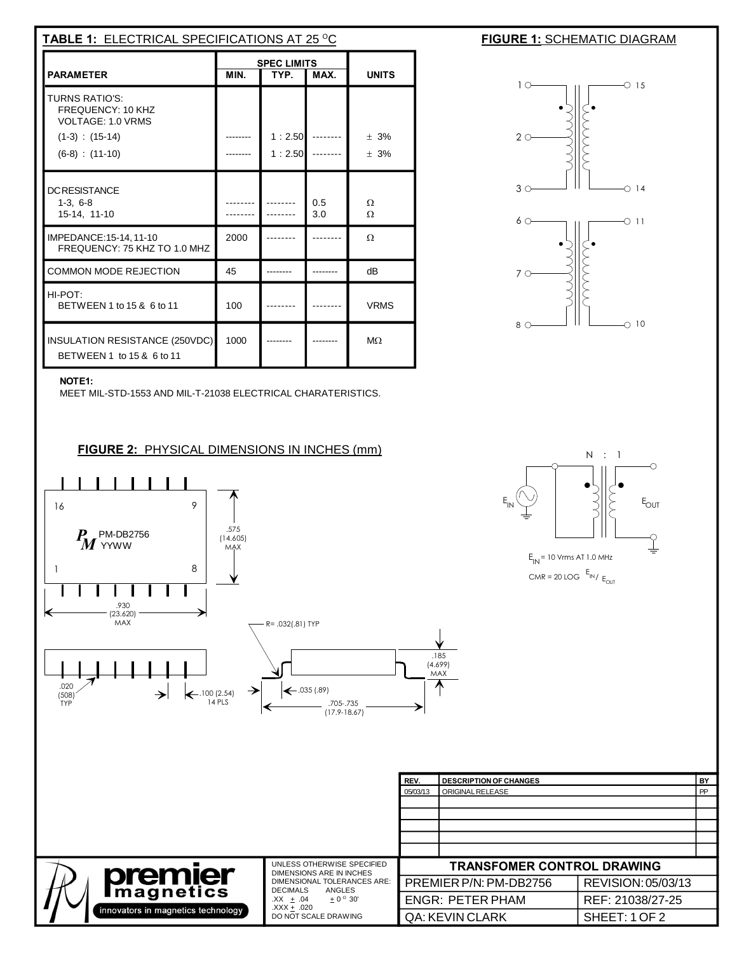| <b>TABLE 1: ELECTRICAL SPECIFICATIONS AT 25 °C</b>                                                   |                                            |                  |            |                      |  |  |
|------------------------------------------------------------------------------------------------------|--------------------------------------------|------------------|------------|----------------------|--|--|
| <b>PARAMETER</b>                                                                                     | <b>SPEC LIMITS</b><br>MIN.<br>TYP.<br>MAX. |                  |            | <b>UNITS</b>         |  |  |
| TURNS RATIO'S:<br>FREQUENCY: 10 KHZ<br>VOLTAGE: 1.0 VRMS<br>$(1-3)$ : $(15-14)$<br>$(6-8) : (11-10)$ |                                            | 1:2.50<br>1:2.50 |            | ± 3%<br>± 3%         |  |  |
| <b>DCRESISTANCE</b><br>$1-3, 6-8$<br>15-14, 11-10                                                    |                                            |                  | 0.5<br>3.0 | $\Omega$<br>$\Omega$ |  |  |
| IMPEDANCE:15-14, 11-10<br>FREQUENCY: 75 KHZ TO 1.0 MHZ                                               | 2000                                       |                  |            | $\Omega$             |  |  |
| <b>COMMON MODE REJECTION</b>                                                                         | 45                                         |                  |            | dB                   |  |  |
| HI-POT:<br>BETWEEN 1 to 15 & 6 to 11                                                                 | 100                                        |                  |            | <b>VRMS</b>          |  |  |
| INSULATION RESISTANCE (250VDC)<br>BETWEEN 1 to 15 & 6 to 11                                          | 1000                                       |                  |            | $M\Omega$            |  |  |





N : 1

 $E_{IN}$  = 10 V ms AT 1.0 MHz  $CMR = 20$  LOG  $E_{IN}$   $E_{OUI}$   $\mathsf{E}_{\mathsf{OUT}}$ 

 $\overline{\underline{\underline{\mathsf{I}}}}$ 

 $\overline{\circ}$ 

## **NOTE1:**

MEET MIL-STD-1553 AND MIL-T-21038 ELECTRICAL CHARATERISTICS.

**FIGURE 2:** PHYSICAL DIMENSIONS IN INCHES (mm)